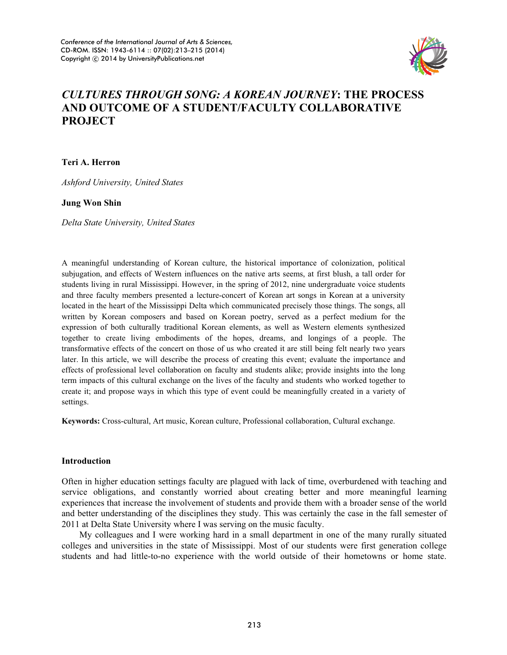

# *CULTURES THROUGH SONG: A KOREAN JOURNEY***: THE PROCESS AND OUTCOME OF A STUDENT/FACULTY COLLABORATIVE PROJECT**

**Teri A. Herron** 

*Ashford University, United States* 

## **Jung Won Shin**

*Delta State University, United States* 

A meaningful understanding of Korean culture, the historical importance of colonization, political subjugation, and effects of Western influences on the native arts seems, at first blush, a tall order for students living in rural Mississippi. However, in the spring of 2012, nine undergraduate voice students and three faculty members presented a lecture-concert of Korean art songs in Korean at a university located in the heart of the Mississippi Delta which communicated precisely those things. The songs, all written by Korean composers and based on Korean poetry, served as a perfect medium for the expression of both culturally traditional Korean elements, as well as Western elements synthesized together to create living embodiments of the hopes, dreams, and longings of a people. The transformative effects of the concert on those of us who created it are still being felt nearly two years later. In this article, we will describe the process of creating this event; evaluate the importance and effects of professional level collaboration on faculty and students alike; provide insights into the long term impacts of this cultural exchange on the lives of the faculty and students who worked together to create it; and propose ways in which this type of event could be meaningfully created in a variety of settings.

**Keywords:** Cross-cultural, Art music, Korean culture, Professional collaboration, Cultural exchange.

### **Introduction**

Often in higher education settings faculty are plagued with lack of time, overburdened with teaching and service obligations, and constantly worried about creating better and more meaningful learning experiences that increase the involvement of students and provide them with a broader sense of the world and better understanding of the disciplines they study. This was certainly the case in the fall semester of 2011 at Delta State University where I was serving on the music faculty.

My colleagues and I were working hard in a small department in one of the many rurally situated colleges and universities in the state of Mississippi. Most of our students were first generation college students and had little-to-no experience with the world outside of their hometowns or home state.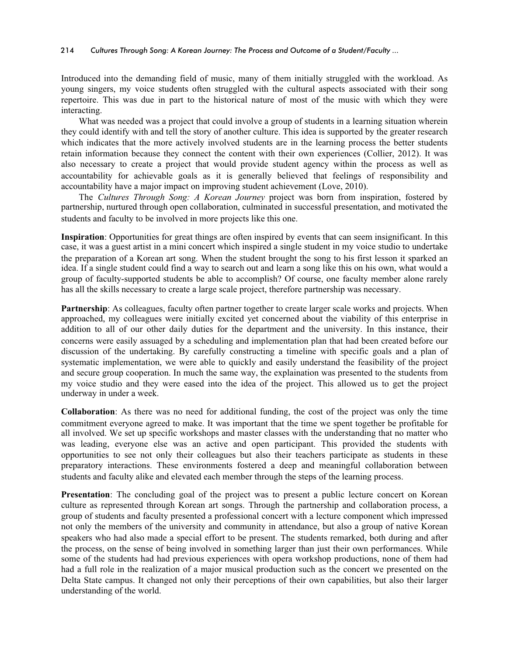### 214 *Cultures Through Song: A Korean Journey: The Process and Outcome of a Student/Faculty ...*

Introduced into the demanding field of music, many of them initially struggled with the workload. As young singers, my voice students often struggled with the cultural aspects associated with their song repertoire. This was due in part to the historical nature of most of the music with which they were interacting.

What was needed was a project that could involve a group of students in a learning situation wherein they could identify with and tell the story of another culture. This idea is supported by the greater research which indicates that the more actively involved students are in the learning process the better students retain information because they connect the content with their own experiences (Collier, 2012). It was also necessary to create a project that would provide student agency within the process as well as accountability for achievable goals as it is generally believed that feelings of responsibility and accountability have a major impact on improving student achievement (Love, 2010).

The *Cultures Through Song: A Korean Journey* project was born from inspiration, fostered by partnership, nurtured through open collaboration, culminated in successful presentation, and motivated the students and faculty to be involved in more projects like this one.

**Inspiration**: Opportunities for great things are often inspired by events that can seem insignificant. In this case, it was a guest artist in a mini concert which inspired a single student in my voice studio to undertake the preparation of a Korean art song. When the student brought the song to his first lesson it sparked an idea. If a single student could find a way to search out and learn a song like this on his own, what would a group of faculty-supported students be able to accomplish? Of course, one faculty member alone rarely has all the skills necessary to create a large scale project, therefore partnership was necessary.

**Partnership**: As colleagues, faculty often partner together to create larger scale works and projects. When approached, my colleagues were initially excited yet concerned about the viability of this enterprise in addition to all of our other daily duties for the department and the university. In this instance, their concerns were easily assuaged by a scheduling and implementation plan that had been created before our discussion of the undertaking. By carefully constructing a timeline with specific goals and a plan of systematic implementation, we were able to quickly and easily understand the feasibility of the project and secure group cooperation. In much the same way, the explaination was presented to the students from my voice studio and they were eased into the idea of the project. This allowed us to get the project underway in under a week.

**Collaboration**: As there was no need for additional funding, the cost of the project was only the time commitment everyone agreed to make. It was important that the time we spent together be profitable for all involved. We set up specific workshops and master classes with the understanding that no matter who was leading, everyone else was an active and open participant. This provided the students with opportunities to see not only their colleagues but also their teachers participate as students in these preparatory interactions. These environments fostered a deep and meaningful collaboration between students and faculty alike and elevated each member through the steps of the learning process.

**Presentation**: The concluding goal of the project was to present a public lecture concert on Korean culture as represented through Korean art songs. Through the partnership and collaboration process, a group of students and faculty presented a professional concert with a lecture component which impressed not only the members of the university and community in attendance, but also a group of native Korean speakers who had also made a special effort to be present. The students remarked, both during and after the process, on the sense of being involved in something larger than just their own performances. While some of the students had had previous experiences with opera workshop productions, none of them had had a full role in the realization of a major musical production such as the concert we presented on the Delta State campus. It changed not only their perceptions of their own capabilities, but also their larger understanding of the world.